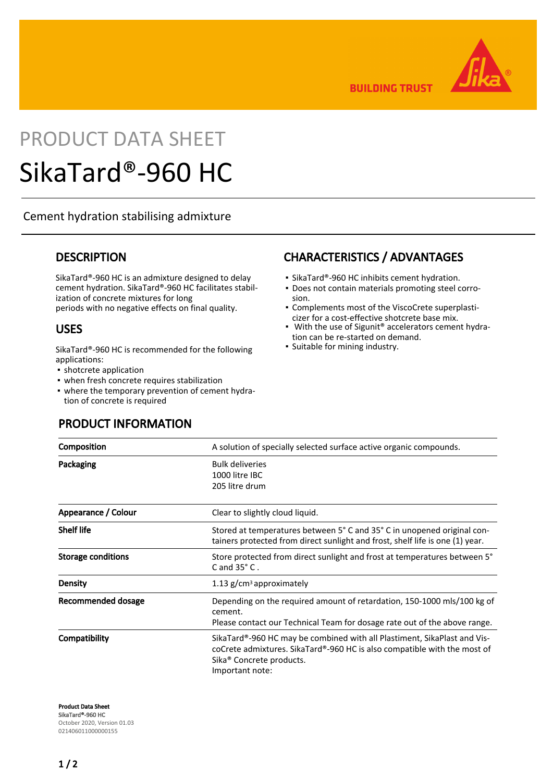

**BUILDING TRUST** 

# PRODUCT DATA SHEET SikaTard®-960 HC

#### Cement hydration stabilising admixture

#### **DESCRIPTION**

SikaTard®-960 HC is an admixture designed to delay cement hydration. SikaTard®-960 HC facilitates stabilization of concrete mixtures for long periods with no negative effects on final quality.

#### USES

SikaTard®-960 HC is recommended for the following applications:

- **•** shotcrete application
- when fresh concrete requires stabilization
- where the temporary prevention of cement hydration of concrete is required

# CHARACTERISTICS / ADVANTAGES

- SikaTard®-960 HC inhibits cement hydration.
- Does not contain materials promoting steel corro-▪ sion.
- Complements most of the ViscoCrete superplasti-▪ cizer for a cost-effective shotcrete base mix.
- With the use of Sigunit<sup>®</sup> accelerators cement hydration can be re-started on demand.
- Suitable for mining industry.

| Composition               | A solution of specially selected surface active organic compounds.                                                                                                                                              |
|---------------------------|-----------------------------------------------------------------------------------------------------------------------------------------------------------------------------------------------------------------|
| Packaging                 | <b>Bulk deliveries</b><br>1000 litre IBC<br>205 litre drum                                                                                                                                                      |
| Appearance / Colour       | Clear to slightly cloud liquid.                                                                                                                                                                                 |
| <b>Shelf life</b>         | Stored at temperatures between 5° C and 35° C in unopened original con-<br>tainers protected from direct sunlight and frost, shelf life is one (1) year.                                                        |
| <b>Storage conditions</b> | Store protected from direct sunlight and frost at temperatures between 5°<br>$C$ and $35^{\circ}$ C.                                                                                                            |
| Density                   | 1.13 g/cm <sup>3</sup> approximately                                                                                                                                                                            |
| Recommended dosage        | Depending on the required amount of retardation, 150-1000 mls/100 kg of<br>cement.<br>Please contact our Technical Team for dosage rate out of the above range.                                                 |
| Compatibility             | SikaTard®-960 HC may be combined with all Plastiment, SikaPlast and Vis-<br>coCrete admixtures. SikaTard®-960 HC is also compatible with the most of<br>Sika <sup>®</sup> Concrete products.<br>Important note: |

Product Data Sheet SikaTard®-960 HC October 2020, Version 01.03 021406011000000155

#### PRODUCT INFORMATION